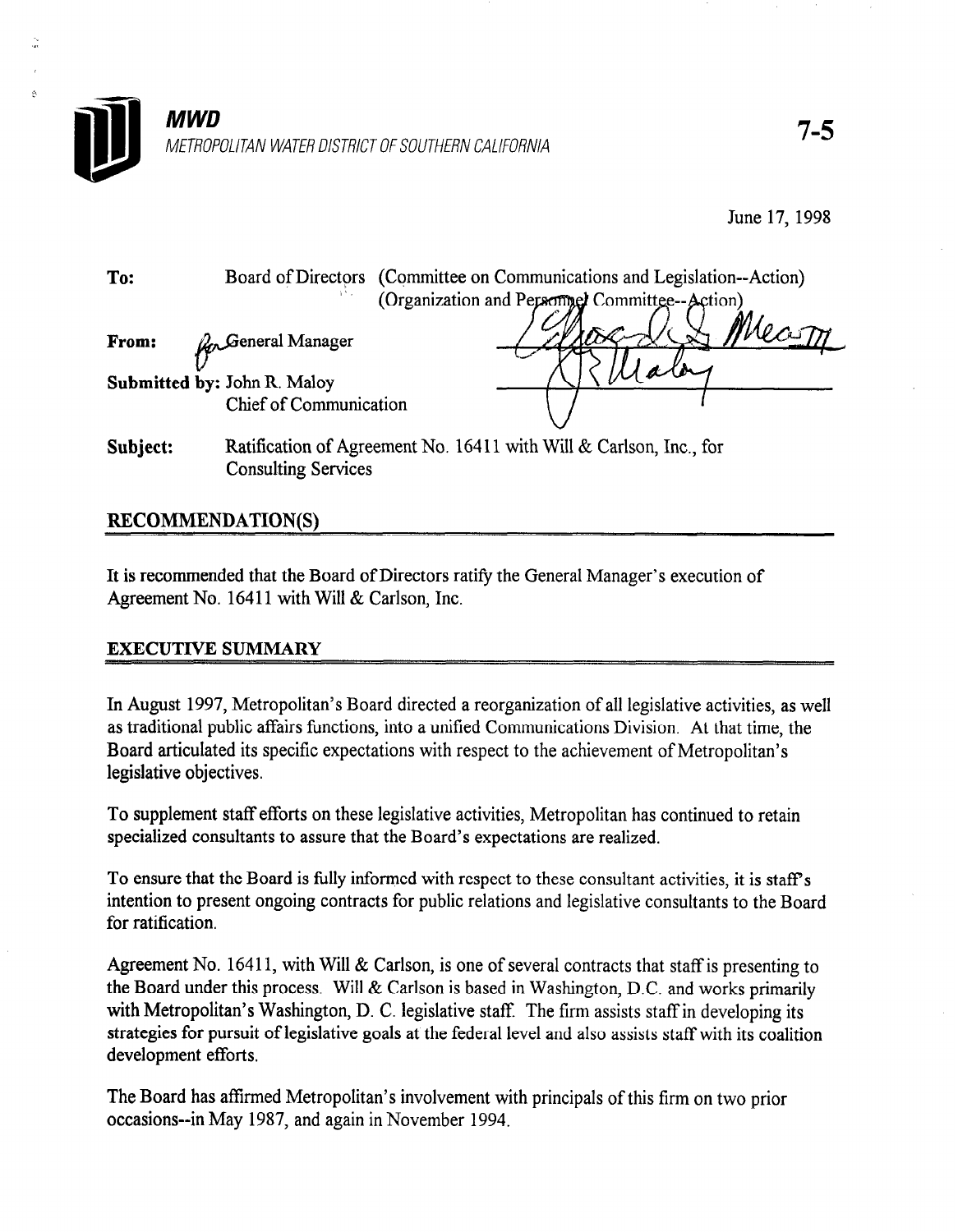

June 17, 1998

To: Board of Directors (Committee on Communications and Legislation--Action) (Organization and Persomed Committee--Action) Mean

From:  $\mathcal{L}_{n}$  General Manager  $U_{-}$ 

ر<br>وي

Submitted by: John R. Maloy Chief of Communication

Subject: Ratification of Agreement No. 16411 with Will & Carlson, Inc., for Consulting Services

## RECOMMENDATION(S\

It is recommended that the Board of Directors ratify the General Manager's execution of Agreement No. 16411 with Will & Carlson, Inc.

## EXECUTIVE SUMMARY

In August 1997, Metropolitan's Board directed a reorganization of a reorganization of all legislative activities, as well as well as well as well as well as well as well as well as well as well as well as well as well as  $\frac{1}{2}$  are traditional public affairs function of an unified Communications, as well as the time, the time of the time, the time of the time of the time of the time of the time of the time of the time of the time of th as traditional public affairs functions, into a unified Communications Division. At that time, the Board articulated its specific expectations with respect to the achievement of Metropolitan's legislative objectives.

To supplement staff efforts on the set of these legislative activities,  $M$  and  $\alpha$ To supplement staff efforts on these registative activities, Metropolitan has

To ensure that the Board is fully informed with respect to these consultant activities, it is staff's intention to present ongoing contracts for public relations and legislative consultants to the Board for ratification.

Agreement No. 16411, with Will & Carlson, is one of several contracts that staff is presenting to the Board under this process. Will & Carlson is based in Washington, D.C. and works primarily with Metropolitan's Washington, D. C. legislative staff. The firm assists staff in developing its strategies for pursuit of legislative goals at the federal level and also assists staff with its coalition development efforts.

The Board has affirmed Metropolitan's involvement with principals of this firm on two prior occasions--in May 1987, and again in November 1994.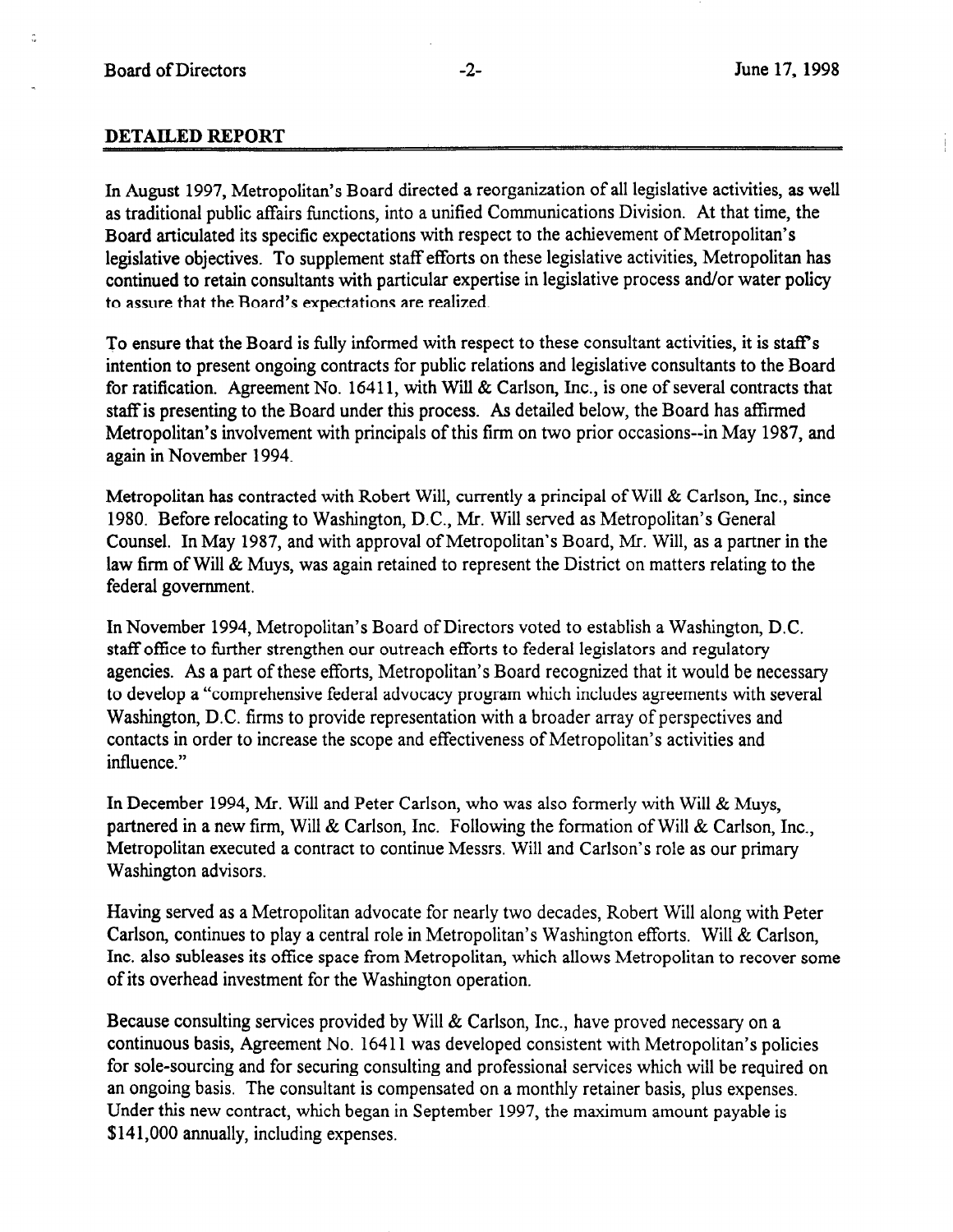## DETAILED REPORT

In August 1997, Metropolitan's Board directed a reorganization of all legislative activities, as well as traditional public affairs functions, into a unified Communications Division. At that time, the Board articulated its specific expectations with respect to the achievement of Metropolitan's legislative objectives. To supplement staff efforts on these legislative activities, Metropolitan has continued to retain consultants with particular expertise in legislative process and/or water policy to assure that the Board's expectations are realized.

To ensure that the Board is fully informed with respect to these consultant activities, it is staff's intention to present ongoing contracts for public relations and legislative consultants to the Board for ratification. Agreement No. 16411, with Will & Carlson, Inc., is one of several contracts that staff is presenting to the Board under this process. As detailed below, the Board has affirmed Metropolitan's involvement with principals of this firm on two prior occasions--in May 1987, and again in November 1994.

Metropolitan has contracted with Robert Will, currently a principal of Will & Carlson, Inc., since 1980. Before relocating to Washington, D.C., Mr. Will served as Metropolitan's General Counsel. In May 1987, and with approval of Metropolitan's Board, Mr. Will, as a partner in the law firm of Will & Muys, was again retained to represent the District on matters relating to the federal government.

In November 1994, Metropolitan's Board of Directors voted to establish a Washington, D.C. staff office to further strengthen our outreach efforts to federal legislators and regulatory agencies. As a part of these efforts, Metropolitan's Board recognized that it would be necessary to develop a "comprehensive federal advocacy program which includes agreements with several Washington, D.C. firms to provide representation with a broader array of perspectives and contacts in order to increase the scope and effectiveness of Metropolitan's activities and influence."

In December 1994, Mr. Will and Peter Carlson, who was also formerly with Will & Muys, partnered in a new firm, Will & Carlson, Inc. Following the formation of Will & Carlson, Inc., Metropolitan executed a contract to continue Messrs. Will and Carlson's role as our primary Washington advisors.

Having served as a Metropolitan advocate for nearly two decades, Robert Will along with Peter Carlson, continues to play a central role in Metropolitan's Washington efforts. Will & Carlson, Inc. also subleases its office space from Metropolitan, which allows Metropolitan to recover some of its overhead investment for the Washington operation.

Because consulting services provided by Will & Carlson, Inc., have proved necessary on a continuous basis, Agreement No. 164 11 was developed consistent with Metropolitan's policies for sole-sourcing and for securing consulting and professional services which will be required on an ongoing basis. The consultant is compensated on a monthly retainer basis, plus expenses. Under this new contract, which began in September 1997, the maximum amount payable is \$141,000 annually, including expenses.